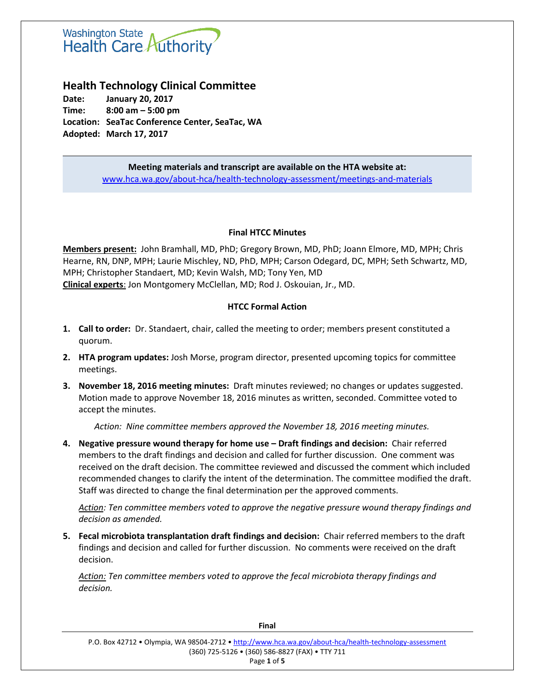# **Washington State** Health Care Authority

# **Health Technology Clinical Committee**

**Date: January 20, 2017 Time: 8:00 am – 5:00 pm Location: SeaTac Conference Center, SeaTac, WA Adopted: March 17, 2017**

> **Meeting materials and transcript are available on the HTA website at:** [www.hca.wa.gov/about-hca/health-technology-assessment/meetings-and-materials](http://www.hca.wa.gov/about-hca/health-technology-assessment/meetings-and-materials)

# **Final HTCC Minutes**

**Members present:** John Bramhall, MD, PhD; Gregory Brown, MD, PhD; Joann Elmore, MD, MPH; Chris Hearne, RN, DNP, MPH; Laurie Mischley, ND, PhD, MPH; Carson Odegard, DC, MPH; Seth Schwartz, MD, MPH; Christopher Standaert, MD; Kevin Walsh, MD; Tony Yen, MD **Clinical experts**: Jon Montgomery McClellan, MD; Rod J. Oskouian, Jr., MD.

# **HTCC Formal Action**

- **1. Call to order:** Dr. Standaert, chair, called the meeting to order; members present constituted a quorum.
- **2. HTA program updates:** Josh Morse, program director, presented upcoming topics for committee meetings.
- **3. November 18, 2016 meeting minutes:** Draft minutes reviewed; no changes or updates suggested. Motion made to approve November 18, 2016 minutes as written, seconded. Committee voted to accept the minutes.

*Action: Nine committee members approved the November 18, 2016 meeting minutes.*

**4. Negative pressure wound therapy for home use – Draft findings and decision:** Chair referred members to the draft findings and decision and called for further discussion. One comment was received on the draft decision. The committee reviewed and discussed the comment which included recommended changes to clarify the intent of the determination. The committee modified the draft. Staff was directed to change the final determination per the approved comments.

*Action: Ten committee members voted to approve the negative pressure wound therapy findings and decision as amended.* 

**5. Fecal microbiota transplantation draft findings and decision:** Chair referred members to the draft findings and decision and called for further discussion. No comments were received on the draft decision.

*Action: Ten committee members voted to approve the fecal microbiota therapy findings and decision.*

**Final**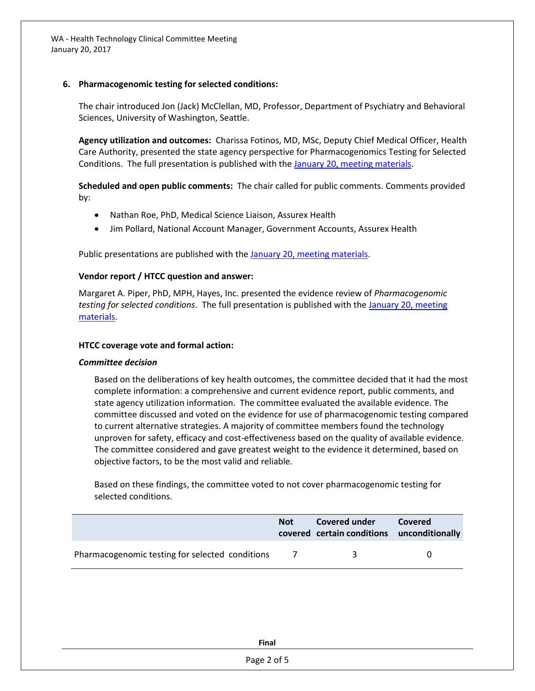WA - Health Technology Clinical Committee Meeting January 20, 2017

#### **6. Pharmacogenomic testing for selected conditions:**

The chair introduced Jon (Jack) McClellan, MD, Professor, Department of Psychiatry and Behavioral Sciences, University of Washington, Seattle.

**Agency utilization and outcomes:** Charissa Fotinos, MD, MSc, Deputy Chief Medical Officer, Health Care Authority, presented the state agency perspective for Pharmacogenomics Testing for Selected Conditions. The full presentation is published with th[e January 20, meeting materials.](http://www.hca.wa.gov/about-hca/health-technology-assessment/meetings-and-materials)

**Scheduled and open public comments:** The chair called for public comments. Comments provided by:

- Nathan Roe, PhD, Medical Science Liaison, Assurex Health
- Jim Pollard, National Account Manager, Government Accounts, Assurex Health

Public presentations are published with the [January 20, meeting materials.](http://www.hca.wa.gov/about-hca/health-technology-assessment/meetings-and-materials)

#### **Vendor report / HTCC question and answer:**

Margaret A. Piper, PhD, MPH, Hayes, Inc. presented the evidence review of *Pharmacogenomic testing for selected conditions*. The full presentation is published with the [January 20, meeting](http://www.hca.wa.gov/about-hca/health-technology-assessment/meetings-and-materials)  [materials.](http://www.hca.wa.gov/about-hca/health-technology-assessment/meetings-and-materials)

#### **HTCC coverage vote and formal action:**

#### *Committee decision*

Based on the deliberations of key health outcomes, the committee decided that it had the most complete information: a comprehensive and current evidence report, public comments, and state agency utilization information. The committee evaluated the available evidence. The committee discussed and voted on the evidence for use of pharmacogenomic testing compared to current alternative strategies. A majority of committee members found the technology unproven for safety, efficacy and cost-effectiveness based on the quality of available evidence. The committee considered and gave greatest weight to the evidence it determined, based on objective factors, to be the most valid and reliable.

Based on these findings, the committee voted to not cover pharmacogenomic testing for selected conditions.

|                                                 | <b>Not</b> | Covered under<br>covered certain conditions unconditionally | Covered |
|-------------------------------------------------|------------|-------------------------------------------------------------|---------|
| Pharmacogenomic testing for selected conditions | $\sqrt{1}$ | ₹                                                           |         |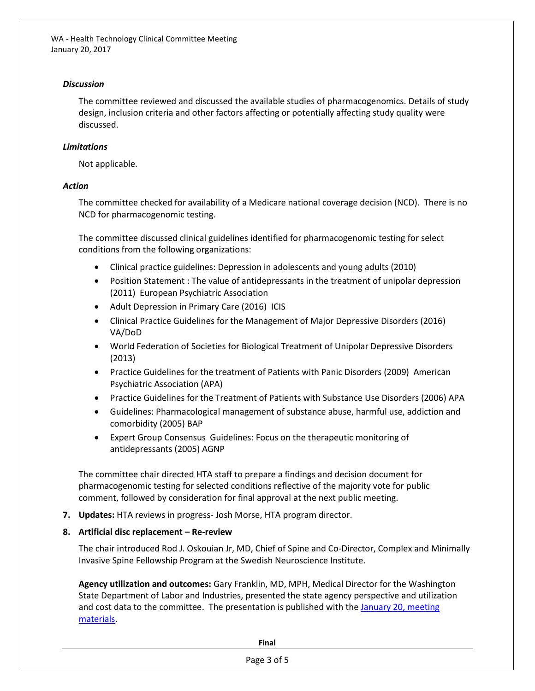WA - Health Technology Clinical Committee Meeting January 20, 2017

#### *Discussion*

The committee reviewed and discussed the available studies of pharmacogenomics. Details of study design, inclusion criteria and other factors affecting or potentially affecting study quality were discussed.

# *Limitations*

Not applicable.

#### *Action*

The committee checked for availability of a Medicare national coverage decision (NCD). There is no NCD for pharmacogenomic testing.

The committee discussed clinical guidelines identified for pharmacogenomic testing for select conditions from the following organizations:

- Clinical practice guidelines: Depression in adolescents and young adults (2010)
- Position Statement : The value of antidepressants in the treatment of unipolar depression (2011) European Psychiatric Association
- Adult Depression in Primary Care (2016) ICIS
- Clinical Practice Guidelines for the Management of Major Depressive Disorders (2016) VA/DoD
- World Federation of Societies for Biological Treatment of Unipolar Depressive Disorders (2013)
- Practice Guidelines for the treatment of Patients with Panic Disorders (2009) American Psychiatric Association (APA)
- Practice Guidelines for the Treatment of Patients with Substance Use Disorders (2006) APA
- Guidelines: Pharmacological management of substance abuse, harmful use, addiction and comorbidity (2005) BAP
- Expert Group Consensus Guidelines: Focus on the therapeutic monitoring of antidepressants (2005) AGNP

The committee chair directed HTA staff to prepare a findings and decision document for pharmacogenomic testing for selected conditions reflective of the majority vote for public comment, followed by consideration for final approval at the next public meeting.

**7. Updates:** HTA reviews in progress- Josh Morse, HTA program director.

# **8. Artificial disc replacement – Re-review**

The chair introduced Rod J. Oskouian Jr, MD, Chief of Spine and Co-Director, Complex and Minimally Invasive Spine Fellowship Program at the Swedish Neuroscience Institute.

**Agency utilization and outcomes:** Gary Franklin, MD, MPH, Medical Director for the Washington State Department of Labor and Industries, presented the state agency perspective and utilization and cost data to the committee. The presentation is published with the January 20, meeting [materials.](http://www.hca.wa.gov/about-hca/health-technology-assessment/meetings-and-materials)

**Final**

Page 3 of 5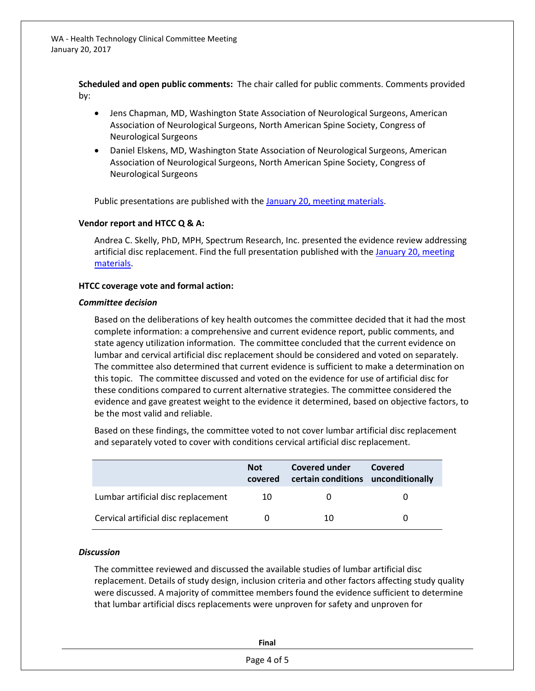**Scheduled and open public comments:** The chair called for public comments. Comments provided by:

- Jens Chapman, MD, Washington State Association of Neurological Surgeons, American Association of Neurological Surgeons, North American Spine Society, Congress of Neurological Surgeons
- Daniel Elskens, MD, Washington State Association of Neurological Surgeons, American Association of Neurological Surgeons, North American Spine Society, Congress of Neurological Surgeons

Public presentations are published with th[e January 20, meeting materials.](http://www.hca.wa.gov/about-hca/health-technology-assessment/meetings-and-materials)

#### **Vendor report and HTCC Q & A:**

Andrea C. Skelly, PhD, MPH, Spectrum Research, Inc. presented the evidence review addressing artificial disc replacement. Find the full presentation published with the January 20, meeting [materials.](http://www.hca.wa.gov/about-hca/health-technology-assessment/meetings-and-materials)

#### **HTCC coverage vote and formal action:**

#### *Committee decision*

Based on the deliberations of key health outcomes the committee decided that it had the most complete information: a comprehensive and current evidence report, public comments, and state agency utilization information. The committee concluded that the current evidence on lumbar and cervical artificial disc replacement should be considered and voted on separately. The committee also determined that current evidence is sufficient to make a determination on this topic. The committee discussed and voted on the evidence for use of artificial disc for these conditions compared to current alternative strategies. The committee considered the evidence and gave greatest weight to the evidence it determined, based on objective factors, to be the most valid and reliable.

Based on these findings, the committee voted to not cover lumbar artificial disc replacement and separately voted to cover with conditions cervical artificial disc replacement.

|                                      | <b>Not</b><br>covered | Covered under<br>certain conditions unconditionally | Covered |
|--------------------------------------|-----------------------|-----------------------------------------------------|---------|
| Lumbar artificial disc replacement   | 10                    |                                                     |         |
| Cervical artificial disc replacement |                       | 10                                                  |         |

# *Discussion*

The committee reviewed and discussed the available studies of lumbar artificial disc replacement. Details of study design, inclusion criteria and other factors affecting study quality were discussed. A majority of committee members found the evidence sufficient to determine that lumbar artificial discs replacements were unproven for safety and unproven for